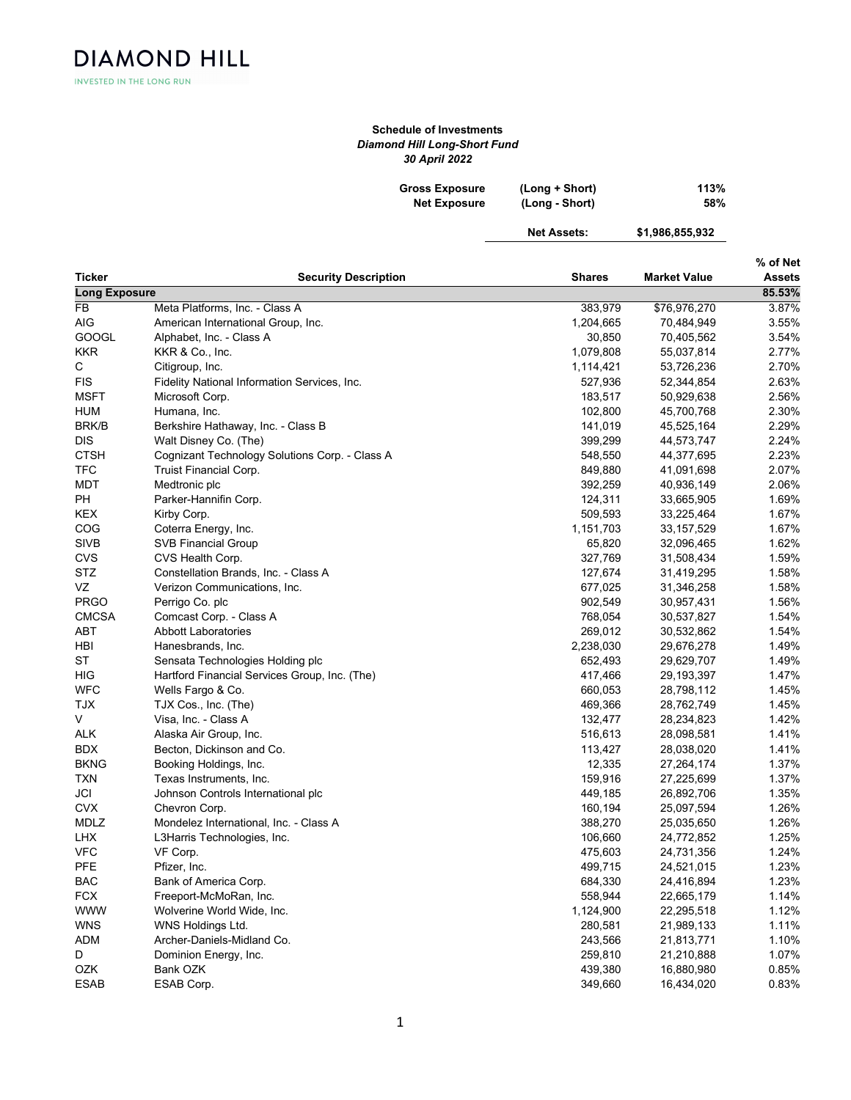**DIAMOND HILL** INVESTED IN THE LONG RUN

## Schedule of Investments Diamond Hill Long-Short Fund 30 April 2022

| <b>Gross Exposure</b> | (Long + Short) | 113% |
|-----------------------|----------------|------|
| <b>Net Exposure</b>   | (Long - Short) | 58%  |

Net Assets: \$1,986,855,932

| ٠ |  |
|---|--|
|   |  |

| Ticker               | <b>Security Description</b>                    | <b>Shares</b> | <b>Market Value</b> | % of Net<br>Assets |
|----------------------|------------------------------------------------|---------------|---------------------|--------------------|
| <b>Long Exposure</b> |                                                |               |                     | 85.53%             |
| <b>FB</b>            | Meta Platforms, Inc. - Class A                 | 383,979       | \$76,976,270        | 3.87%              |
| AIG                  | American International Group, Inc.             | 1,204,665     | 70,484,949          | 3.55%              |
| GOOGL                | Alphabet, Inc. - Class A                       | 30,850        | 70,405,562          | 3.54%              |
| <b>KKR</b>           | KKR & Co., Inc.                                | 1,079,808     | 55,037,814          | 2.77%              |
| С                    | Citigroup, Inc.                                | 1,114,421     | 53,726,236          | 2.70%              |
| FIS                  | Fidelity National Information Services, Inc.   | 527,936       | 52,344,854          | 2.63%              |
| <b>MSFT</b>          | Microsoft Corp.                                | 183,517       | 50,929,638          | 2.56%              |
| <b>HUM</b>           | Humana, Inc.                                   | 102,800       | 45,700,768          | 2.30%              |
| <b>BRK/B</b>         | Berkshire Hathaway, Inc. - Class B             | 141,019       | 45,525,164          | 2.29%              |
| DIS                  | Walt Disney Co. (The)                          | 399,299       | 44,573,747          | 2.24%              |
| <b>CTSH</b>          | Cognizant Technology Solutions Corp. - Class A | 548,550       | 44,377,695          | 2.23%              |
| <b>TFC</b>           | <b>Truist Financial Corp.</b>                  | 849,880       | 41,091,698          | 2.07%              |
| <b>MDT</b>           | Medtronic plc                                  | 392,259       | 40,936,149          | 2.06%              |
| PH                   | Parker-Hannifin Corp.                          | 124,311       | 33,665,905          | 1.69%              |
| KEX                  | Kirby Corp.                                    | 509,593       | 33,225,464          | 1.67%              |
| COG                  | Coterra Energy, Inc.                           | 1,151,703     | 33, 157, 529        | 1.67%              |
| SIVB                 | <b>SVB Financial Group</b>                     | 65,820        | 32,096,465          | 1.62%              |
| CVS                  | CVS Health Corp.                               | 327,769       | 31,508,434          | 1.59%              |
| <b>STZ</b>           | Constellation Brands, Inc. - Class A           | 127,674       | 31,419,295          | 1.58%              |
| VZ                   | Verizon Communications, Inc.                   | 677,025       | 31,346,258          | 1.58%              |
| <b>PRGO</b>          | Perrigo Co. plc                                | 902,549       | 30,957,431          | 1.56%              |
| <b>CMCSA</b>         | Comcast Corp. - Class A                        | 768,054       | 30,537,827          | 1.54%              |
| ABT                  | <b>Abbott Laboratories</b>                     | 269,012       | 30,532,862          | 1.54%              |
| HBI                  | Hanesbrands, Inc.                              | 2,238,030     | 29,676,278          | 1.49%              |
| <b>ST</b>            | Sensata Technologies Holding plc               | 652,493       | 29,629,707          | 1.49%              |
| HIG                  | Hartford Financial Services Group, Inc. (The)  | 417,466       | 29,193,397          | 1.47%              |
| WFC                  | Wells Fargo & Co.                              | 660,053       | 28,798,112          | 1.45%              |
| <b>TJX</b>           | TJX Cos., Inc. (The)                           | 469,366       | 28,762,749          | 1.45%              |
| V                    | Visa, Inc. - Class A                           | 132,477       | 28,234,823          | 1.42%              |
| <b>ALK</b>           | Alaska Air Group, Inc.                         | 516,613       | 28,098,581          | 1.41%              |
| <b>BDX</b>           | Becton, Dickinson and Co.                      | 113,427       | 28,038,020          | 1.41%              |
| <b>BKNG</b>          | Booking Holdings, Inc.                         | 12,335        | 27,264,174          | 1.37%              |
| <b>TXN</b>           | Texas Instruments, Inc.                        | 159,916       | 27,225,699          | 1.37%              |
| JCI                  | Johnson Controls International plc             | 449,185       | 26,892,706          | 1.35%              |
| <b>CVX</b>           | Chevron Corp.                                  | 160,194       | 25,097,594          | 1.26%              |
| MDLZ                 | Mondelez International, Inc. - Class A         | 388,270       | 25,035,650          | 1.26%              |
| LHX                  | L3Harris Technologies, Inc.                    | 106,660       | 24,772,852          | 1.25%              |
| <b>VFC</b>           | VF Corp.                                       | 475,603       | 24,731,356          | 1.24%              |
| <b>PFE</b>           | Pfizer, Inc.                                   | 499,715       | 24,521,015          | 1.23%              |
| <b>BAC</b>           | Bank of America Corp.                          | 684,330       | 24,416,894          | 1.23%              |
| <b>FCX</b>           | Freeport-McMoRan, Inc.                         | 558,944       | 22,665,179          | 1.14%              |
| <b>WWW</b>           | Wolverine World Wide, Inc.                     | 1,124,900     | 22,295,518          | 1.12%              |
| <b>WNS</b>           | WNS Holdings Ltd.                              | 280,581       | 21,989,133          | 1.11%              |
| <b>ADM</b>           | Archer-Daniels-Midland Co.                     | 243,566       | 21,813,771          | 1.10%              |
| D                    | Dominion Energy, Inc.                          | 259,810       | 21,210,888          | 1.07%              |
| OZK                  | Bank OZK                                       | 439,380       | 16,880,980          | 0.85%              |
| ESAB                 | ESAB Corp.                                     | 349,660       | 16,434,020          | 0.83%              |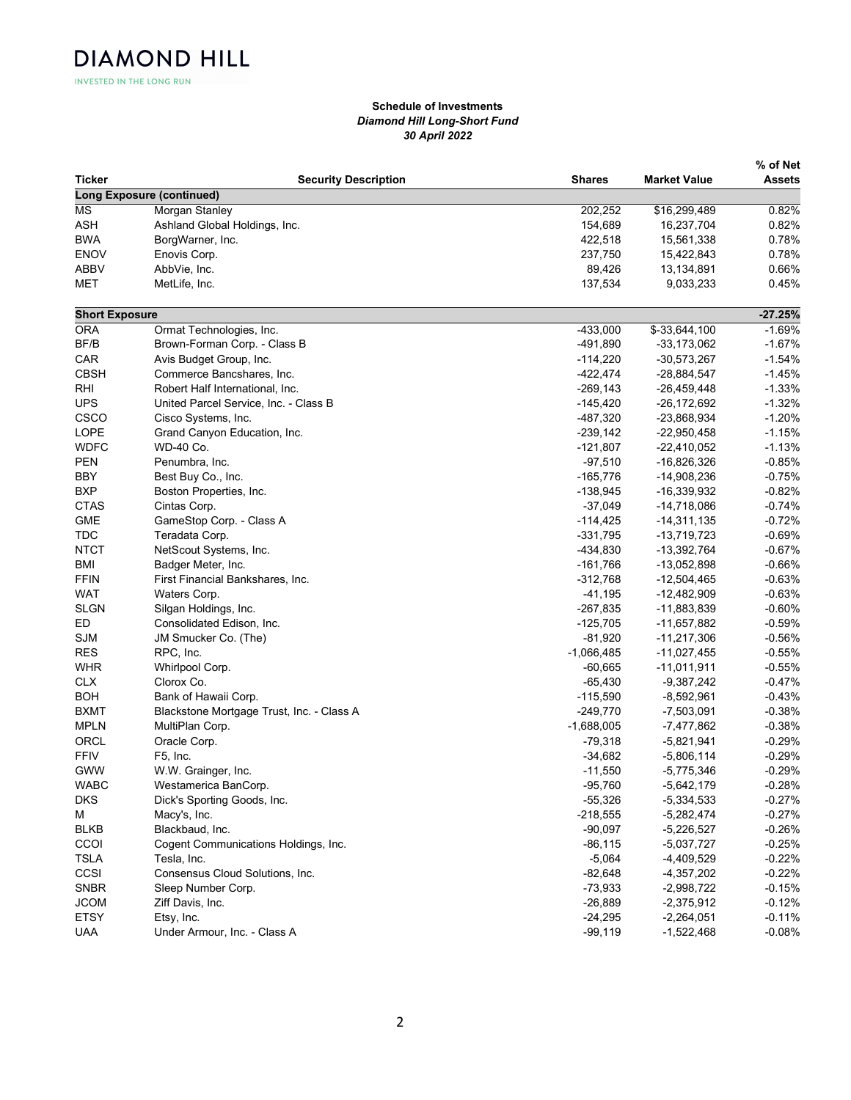INVESTED IN THE LONG RUN

**DIAMOND HILL** 

## Schedule of Investments Diamond Hill Long-Short Fund 30 April 2022

|                       |                                           |               |                     | % of Net  |
|-----------------------|-------------------------------------------|---------------|---------------------|-----------|
| Ticker                | <b>Security Description</b>               | <b>Shares</b> | <b>Market Value</b> | Assets    |
|                       | <b>Long Exposure (continued)</b>          |               |                     |           |
| <b>MS</b>             | Morgan Stanley                            | 202,252       | \$16,299,489        | 0.82%     |
| <b>ASH</b>            | Ashland Global Holdings, Inc.             | 154,689       | 16,237,704          | 0.82%     |
| <b>BWA</b>            | BorgWarner, Inc.                          | 422,518       | 15,561,338          | 0.78%     |
| <b>ENOV</b>           | Enovis Corp.                              | 237,750       | 15,422,843          | 0.78%     |
| <b>ABBV</b>           | AbbVie, Inc.                              | 89,426        | 13,134,891          | 0.66%     |
| MET                   | MetLife, Inc.                             | 137,534       | 9,033,233           | 0.45%     |
| <b>Short Exposure</b> |                                           |               |                     | $-27.25%$ |
| <b>ORA</b>            | Ormat Technologies, Inc.                  | $-433,000$    | \$-33,644,100       | $-1.69%$  |
| BF/B                  | Brown-Forman Corp. - Class B              | -491,890      | $-33,173,062$       | $-1.67%$  |
| CAR                   | Avis Budget Group, Inc.                   | $-114,220$    | $-30,573,267$       | $-1.54%$  |
| <b>CBSH</b>           | Commerce Bancshares, Inc.                 | $-422,474$    | -28,884,547         | $-1.45%$  |
| <b>RHI</b>            | Robert Half International, Inc.           | $-269, 143$   | $-26,459,448$       | $-1.33%$  |
| <b>UPS</b>            | United Parcel Service, Inc. - Class B     | $-145,420$    | $-26, 172, 692$     | $-1.32%$  |
| CSCO                  | Cisco Systems, Inc.                       | -487,320      | -23,868,934         | $-1.20%$  |
| LOPE                  | Grand Canyon Education, Inc.              | $-239,142$    | $-22,950,458$       | $-1.15%$  |
| <b>WDFC</b>           | WD-40 Co.                                 | -121,807      | $-22,410,052$       | $-1.13%$  |
| <b>PEN</b>            | Penumbra, Inc.                            | $-97,510$     | $-16,826,326$       | $-0.85%$  |
| <b>BBY</b>            | Best Buy Co., Inc.                        | $-165,776$    | $-14,908,236$       | $-0.75%$  |
| <b>BXP</b>            | Boston Properties, Inc.                   | $-138,945$    | -16,339,932         | $-0.82%$  |
| <b>CTAS</b>           | Cintas Corp.                              | $-37,049$     | -14,718,086         | $-0.74%$  |
| <b>GME</b>            | GameStop Corp. - Class A                  | $-114,425$    | $-14,311,135$       | $-0.72%$  |
| <b>TDC</b>            | Teradata Corp.                            | $-331,795$    | $-13,719,723$       | $-0.69%$  |
| <b>NTCT</b>           | NetScout Systems, Inc.                    | -434,830      | -13,392,764         | $-0.67%$  |
| <b>BMI</b>            | Badger Meter, Inc.                        | $-161,766$    | -13,052,898         | $-0.66%$  |
| <b>FFIN</b>           | First Financial Bankshares, Inc.          | -312,768      | $-12,504,465$       | $-0.63%$  |
| <b>WAT</b>            | Waters Corp.                              | -41,195       | -12,482,909         | $-0.63%$  |
| <b>SLGN</b>           | Silgan Holdings, Inc.                     | $-267,835$    | -11,883,839         | $-0.60%$  |
| ED                    | Consolidated Edison, Inc.                 | $-125,705$    | -11,657,882         | $-0.59%$  |
| <b>SJM</b>            | JM Smucker Co. (The)                      | -81,920       | $-11,217,306$       | -0.56%    |
| <b>RES</b>            | RPC, Inc.                                 | $-1,066,485$  | $-11,027,455$       | $-0.55%$  |
| <b>WHR</b>            | Whirlpool Corp.                           | $-60,665$     | $-11,011,911$       | $-0.55%$  |
| CLX                   | Clorox Co.                                | $-65,430$     | $-9,387,242$        | $-0.47%$  |
| <b>BOH</b>            | Bank of Hawaii Corp.                      | $-115,590$    | $-8,592,961$        | $-0.43%$  |
| <b>BXMT</b>           | Blackstone Mortgage Trust, Inc. - Class A | $-249,770$    | $-7,503,091$        | $-0.38%$  |
| <b>MPLN</b>           | MultiPlan Corp.                           | $-1,688,005$  | -7,477,862          | $-0.38%$  |
| ORCL                  | Oracle Corp.                              | $-79,318$     | $-5,821,941$        | $-0.29%$  |
| <b>FFIV</b>           | F5, Inc.                                  | $-34,682$     | $-5,806,114$        | $-0.29%$  |
| <b>GWW</b>            | W.W. Grainger, Inc.                       | $-11,550$     | $-5,775,346$        | $-0.29%$  |
| <b>WABC</b>           | Westamerica BanCorp.                      | $-95,760$     | $-5,642,179$        | $-0.28%$  |
| DKS                   | Dick's Sporting Goods, Inc.               | $-55,326$     | $-5,334,533$        | $-0.27%$  |
| М                     | Macy's, Inc.                              | $-218,555$    | $-5,282,474$        | $-0.27%$  |
| <b>BLKB</b>           | Blackbaud, Inc.                           | $-90,097$     | $-5,226,527$        | $-0.26%$  |
| CCOI                  | Cogent Communications Holdings, Inc.      | $-86, 115$    | $-5,037,727$        | $-0.25%$  |
| <b>TSLA</b>           | Tesla, Inc.                               | $-5,064$      | $-4,409,529$        | $-0.22%$  |
| CCSI                  | Consensus Cloud Solutions, Inc.           | $-82,648$     | $-4,357,202$        | $-0.22%$  |
| <b>SNBR</b>           | Sleep Number Corp.                        | -73,933       | $-2,998,722$        | -0.15%    |
| <b>JCOM</b>           | Ziff Davis, Inc.                          | $-26,889$     | $-2,375,912$        | $-0.12%$  |
| <b>ETSY</b>           | Etsy, Inc.                                | $-24,295$     | $-2,264,051$        | -0.11%    |
|                       | Under Armour, Inc. - Class A              | $-99,119$     |                     | $-0.08%$  |
| <b>UAA</b>            |                                           |               | $-1,522,468$        |           |